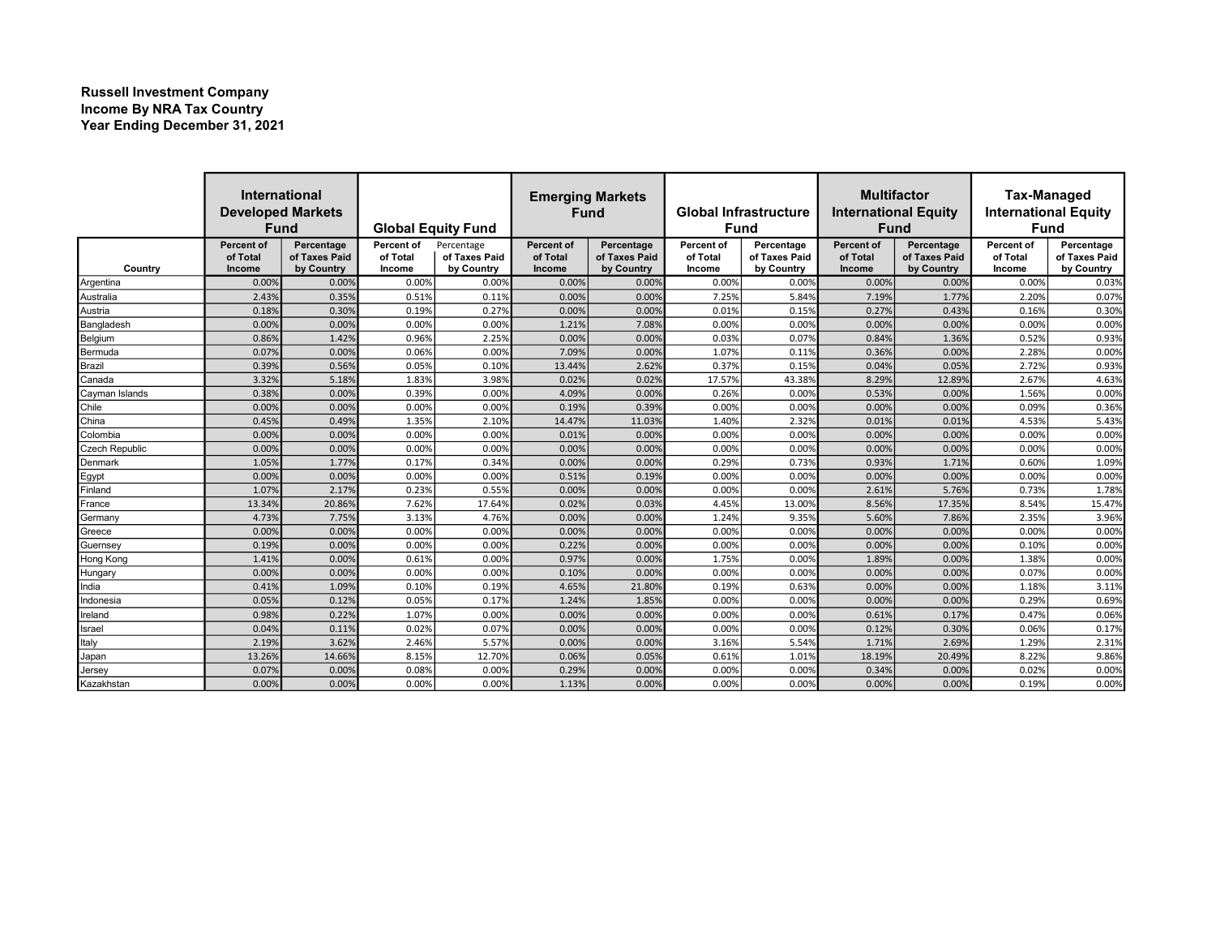## Russell Investment Company Income By NRA Tax Country Year Ending December 31, 2021

|                | <b>International</b><br><b>Developed Markets</b><br><b>Fund</b> |                             | <b>Global Equity Fund</b> |                             | <b>Emerging Markets</b><br><b>Fund</b> |                             | <b>Global Infrastructure</b><br><b>Fund</b> |                             | <b>Multifactor</b><br><b>International Equity</b><br><b>Fund</b> |                             | <b>Tax-Managed</b><br><b>International Equity</b><br><b>Fund</b> |                             |
|----------------|-----------------------------------------------------------------|-----------------------------|---------------------------|-----------------------------|----------------------------------------|-----------------------------|---------------------------------------------|-----------------------------|------------------------------------------------------------------|-----------------------------|------------------------------------------------------------------|-----------------------------|
|                | <b>Percent of</b>                                               | Percentage                  | Percent of                | Percentage                  | Percent of                             | Percentage                  | Percent of                                  | Percentage                  | Percent of                                                       | Percentage                  | Percent of                                                       | Percentage                  |
| Country        | of Total<br><b>Income</b>                                       | of Taxes Paid<br>by Country | of Total<br>Income        | of Taxes Paid<br>by Country | of Total<br>Income                     | of Taxes Paid<br>by Country | of Total<br>Income                          | of Taxes Paid<br>by Country | of Total<br>Income                                               | of Taxes Paid<br>by Country | of Total<br>Income                                               | of Taxes Paid<br>by Country |
| Argentina      | 0.00%                                                           | 0.00%                       | 0.00%                     | 0.00%                       | 0.00%                                  | 0.00%                       | 0.00%                                       | 0.00%                       | 0.00%                                                            | 0.00%                       | 0.00%                                                            | 0.03%                       |
| Australia      | 2.43%                                                           | 0.35%                       | 0.51%                     | 0.11%                       | 0.00%                                  | 0.00%                       | 7.25%                                       | 5.84%                       | 7.19%                                                            | 1.77%                       | 2.20%                                                            | 0.07%                       |
| Austria        | 0.18%                                                           | 0.30%                       | 0.19%                     | 0.27%                       | 0.00%                                  | 0.00%                       | 0.01%                                       | 0.15%                       | 0.27%                                                            | 0.43%                       | 0.16%                                                            | 0.30%                       |
| Bangladesh     | 0.00%                                                           | 0.00%                       | 0.00%                     | 0.00%                       | 1.21%                                  | 7.08%                       | 0.00%                                       | 0.00%                       | 0.00%                                                            | 0.00%                       | 0.00%                                                            | 0.00%                       |
| Belgium        | 0.86%                                                           | 1.42%                       | 0.96%                     | 2.25%                       | 0.00%                                  | 0.00%                       | 0.03%                                       | 0.07%                       | 0.84%                                                            | 1.36%                       | 0.52%                                                            | 0.93%                       |
| Bermuda        | 0.07%                                                           | 0.00%                       | 0.06%                     | 0.00%                       | 7.09%                                  | 0.00%                       | 1.07%                                       | 0.11%                       | 0.36%                                                            | 0.00%                       | 2.28%                                                            | 0.00%                       |
| Brazil         | 0.39%                                                           | 0.56%                       | 0.05%                     | 0.109                       | 13.44%                                 | 2.62%                       | 0.37%                                       | 0.15%                       | 0.04%                                                            | 0.05%                       | 2.72%                                                            | 0.93%                       |
| Canada         | 3.32%                                                           | 5.18%                       | 1.83%                     | 3.98%                       | 0.02%                                  | 0.02%                       | 17.57%                                      | 43.38%                      | 8.29%                                                            | 12.89%                      | 2.67%                                                            | 4.63%                       |
| Cayman Islands | 0.38%                                                           | 0.00%                       | 0.39%                     | 0.00%                       | 4.09%                                  | 0.00%                       | 0.26%                                       | 0.00%                       | 0.53%                                                            | 0.00%                       | 1.56%                                                            | 0.00%                       |
| Chile          | 0.00%                                                           | 0.00%                       | 0.00%                     | 0.00%                       | 0.19%                                  | 0.39%                       | 0.00%                                       | 0.00%                       | 0.00%                                                            | 0.00%                       | 0.09%                                                            | 0.36%                       |
| China          | 0.45%                                                           | 0.49%                       | 1.35%                     | 2.109                       | 14.47%                                 | 11.03%                      | 1.40%                                       | 2.32%                       | 0.01%                                                            | 0.01%                       | 4.53%                                                            | 5.43%                       |
| Colombia       | 0.00%                                                           | 0.00%                       | 0.00%                     | 0.00%                       | 0.01%                                  | 0.00%                       | 0.00%                                       | 0.00%                       | 0.00%                                                            | 0.00%                       | 0.00%                                                            | 0.00%                       |
| Czech Republic | 0.00%                                                           | 0.00%                       | 0.00%                     | 0.00%                       | 0.00%                                  | 0.00%                       | 0.00%                                       | 0.00%                       | 0.00%                                                            | 0.00%                       | 0.00%                                                            | 0.00%                       |
| Denmark        | 1.05%                                                           | 1.77%                       | 0.17%                     | 0.34%                       | 0.00%                                  | 0.00%                       | 0.29%                                       | 0.73%                       | 0.93%                                                            | 1.71%                       | 0.60%                                                            | 1.09%                       |
| Egypt          | 0.00%                                                           | 0.00%                       | 0.00%                     | 0.00%                       | 0.51%                                  | 0.19%                       | 0.00%                                       | 0.00%                       | 0.00%                                                            | 0.00%                       | 0.00%                                                            | 0.00%                       |
| Finland        | 1.07%                                                           | 2.17%                       | 0.23%                     | 0.559                       | 0.00%                                  | 0.00%                       | 0.00%                                       | 0.00%                       | 2.61%                                                            | 5.76%                       | 0.73%                                                            | 1.78%                       |
| France         | 13.34%                                                          | 20.86%                      | 7.62%                     | 17.64%                      | 0.02%                                  | 0.03%                       | 4.45%                                       | 13.009                      | 8.56%                                                            | 17.35%                      | 8.54%                                                            | 15.47%                      |
| Germany        | 4.73%                                                           | 7.75%                       | 3.13%                     | 4.76%                       | 0.00%                                  | 0.00%                       | 1.24%                                       | 9.35%                       | 5.60%                                                            | 7.86%                       | 2.35%                                                            | 3.96%                       |
| Greece         | 0.00%                                                           | 0.00%                       | 0.00%                     | 0.00%                       | 0.00%                                  | 0.00%                       | 0.00%                                       | 0.00%                       | 0.00%                                                            | 0.00%                       | 0.00%                                                            | 0.00%                       |
| Guernsey       | 0.19%                                                           | 0.00%                       | 0.00%                     | 0.00%                       | 0.22%                                  | 0.00%                       | 0.00%                                       | 0.00%                       | 0.00%                                                            | 0.00%                       | 0.10%                                                            | 0.00%                       |
| Hong Kong      | 1.41%                                                           | 0.00%                       | 0.61%                     | 0.00%                       | 0.97%                                  | 0.00%                       | 1.75%                                       | 0.00%                       | 1.89%                                                            | 0.00%                       | 1.38%                                                            | 0.00%                       |
| Hungary        | 0.00%                                                           | 0.00%                       | 0.00%                     | 0.00%                       | 0.10%                                  | 0.00%                       | 0.00%                                       | 0.00%                       | 0.00%                                                            | 0.00%                       | 0.07%                                                            | 0.00%                       |
| India          | 0.41%                                                           | 1.09%                       | 0.10%                     | 0.199                       | 4.65%                                  | 21.80%                      | 0.19%                                       | 0.63%                       | 0.00%                                                            | 0.00%                       | 1.18%                                                            | 3.11%                       |
| ndonesia       | 0.05%                                                           | 0.12%                       | 0.05%                     | 0.179                       | 1.24%                                  | 1.85%                       | 0.00%                                       | 0.00%                       | 0.00%                                                            | 0.00%                       | 0.29%                                                            | 0.69%                       |
| reland         | 0.98%                                                           | 0.22%                       | 1.07%                     | 0.00%                       | 0.00%                                  | 0.00%                       | 0.00%                                       | 0.00%                       | 0.61%                                                            | 0.17%                       | 0.47%                                                            | 0.06%                       |
| Israel         | 0.04%                                                           | 0.11%                       | 0.02%                     | 0.079                       | 0.00%                                  | 0.00%                       | 0.00%                                       | 0.00%                       | 0.12%                                                            | 0.30%                       | 0.06%                                                            | 0.17%                       |
| taly           | 2.19%                                                           | 3.62%                       | 2.46%                     | 5.579                       | 0.00%                                  | 0.00%                       | 3.16%                                       | 5.54%                       | 1.71%                                                            | 2.69%                       | 1.29%                                                            | 2.31%                       |
| Japan          | 13.26%                                                          | 14.66%                      | 8.15%                     | 12.709                      | 0.06%                                  | 0.05%                       | 0.61%                                       | 1.01%                       | 18.19%                                                           | 20.49%                      | 8.22%                                                            | 9.86%                       |
| Jersey         | 0.079                                                           | 0.00%                       | 0.08%                     | 0.00%                       | 0.29%                                  | 0.00%                       | 0.00%                                       | 0.009                       | 0.34%                                                            | 0.00%                       | 0.02%                                                            | 0.00%                       |
| Kazakhstan     | 0.00%                                                           | 0.00%                       | 0.00%                     | 0.00%                       | 1.13%                                  | 0.00%                       | 0.00%                                       | 0.00%                       | 0.00%                                                            | 0.00%                       | 0.19%                                                            | 0.00%                       |